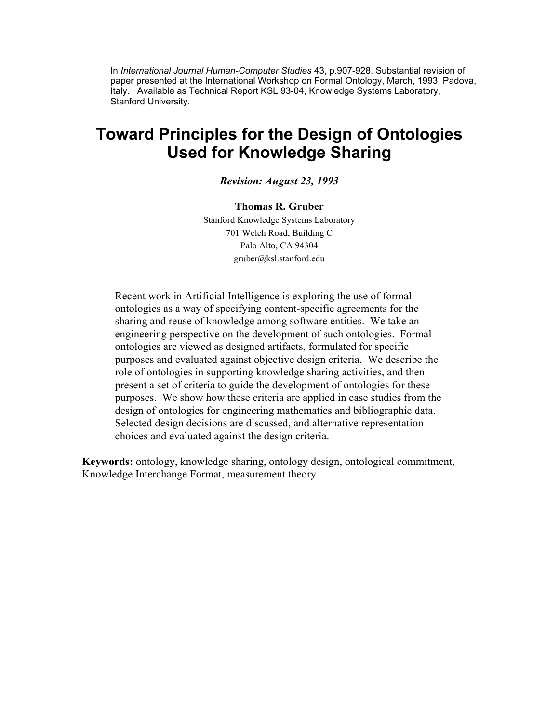In *International Journal Human-Computer Studies* 43, p.907-928. Substantial revision of paper presented at the International Workshop on Formal Ontology, March, 1993, Padova, Italy. Available as Technical Report KSL 93-04, Knowledge Systems Laboratory, Stanford University.

# **Toward Principles for the Design of Ontologies Used for Knowledge Sharing**

#### *Revision: August 23, 1993*

#### **Thomas R. Gruber**

Stanford Knowledge Systems Laboratory 701 Welch Road, Building C Palo Alto, CA 94304 gruber@ksl.stanford.edu

Recent work in Artificial Intelligence is exploring the use of formal ontologies as a way of specifying content-specific agreements for the sharing and reuse of knowledge among software entities. We take an engineering perspective on the development of such ontologies. Formal ontologies are viewed as designed artifacts, formulated for specific purposes and evaluated against objective design criteria. We describe the role of ontologies in supporting knowledge sharing activities, and then present a set of criteria to guide the development of ontologies for these purposes. We show how these criteria are applied in case studies from the design of ontologies for engineering mathematics and bibliographic data. Selected design decisions are discussed, and alternative representation choices and evaluated against the design criteria.

**Keywords:** ontology, knowledge sharing, ontology design, ontological commitment, Knowledge Interchange Format, measurement theory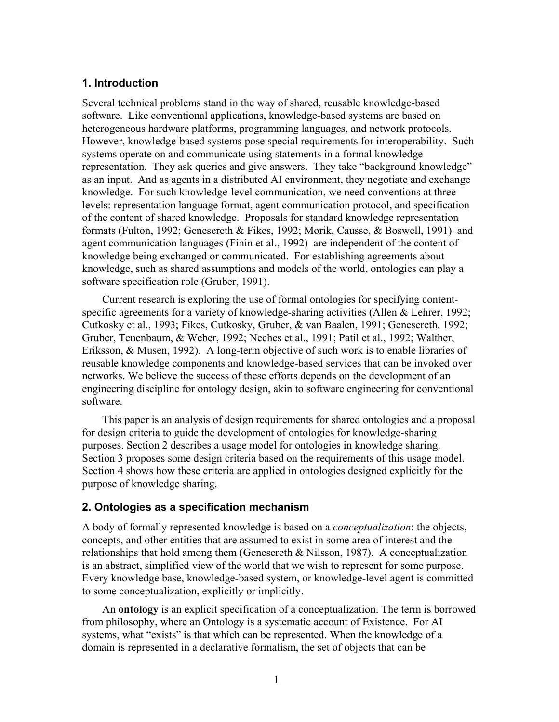### **1. Introduction**

Several technical problems stand in the way of shared, reusable knowledge-based software. Like conventional applications, knowledge-based systems are based on heterogeneous hardware platforms, programming languages, and network protocols. However, knowledge-based systems pose special requirements for interoperability. Such systems operate on and communicate using statements in a formal knowledge representation. They ask queries and give answers. They take "background knowledge" as an input. And as agents in a distributed AI environment, they negotiate and exchange knowledge. For such knowledge-level communication, we need conventions at three levels: representation language format, agent communication protocol, and specification of the content of shared knowledge. Proposals for standard knowledge representation formats (Fulton, 1992; Genesereth & Fikes, 1992; Morik, Causse, & Boswell, 1991) and agent communication languages (Finin et al., 1992) are independent of the content of knowledge being exchanged or communicated. For establishing agreements about knowledge, such as shared assumptions and models of the world, ontologies can play a software specification role (Gruber, 1991).

Current research is exploring the use of formal ontologies for specifying contentspecific agreements for a variety of knowledge-sharing activities (Allen & Lehrer, 1992; Cutkosky et al., 1993; Fikes, Cutkosky, Gruber, & van Baalen, 1991; Genesereth, 1992; Gruber, Tenenbaum, & Weber, 1992; Neches et al., 1991; Patil et al., 1992; Walther, Eriksson, & Musen, 1992). A long-term objective of such work is to enable libraries of reusable knowledge components and knowledge-based services that can be invoked over networks. We believe the success of these efforts depends on the development of an engineering discipline for ontology design, akin to software engineering for conventional software.

This paper is an analysis of design requirements for shared ontologies and a proposal for design criteria to guide the development of ontologies for knowledge-sharing purposes. Section 2 describes a usage model for ontologies in knowledge sharing. Section 3 proposes some design criteria based on the requirements of this usage model. Section 4 shows how these criteria are applied in ontologies designed explicitly for the purpose of knowledge sharing.

## **2. Ontologies as a specification mechanism**

A body of formally represented knowledge is based on a *conceptualization*: the objects, concepts, and other entities that are assumed to exist in some area of interest and the relationships that hold among them (Genesereth  $\&$  Nilsson, 1987). A conceptualization is an abstract, simplified view of the world that we wish to represent for some purpose. Every knowledge base, knowledge-based system, or knowledge-level agent is committed to some conceptualization, explicitly or implicitly.

An **ontology** is an explicit specification of a conceptualization. The term is borrowed from philosophy, where an Ontology is a systematic account of Existence. For AI systems, what "exists" is that which can be represented. When the knowledge of a domain is represented in a declarative formalism, the set of objects that can be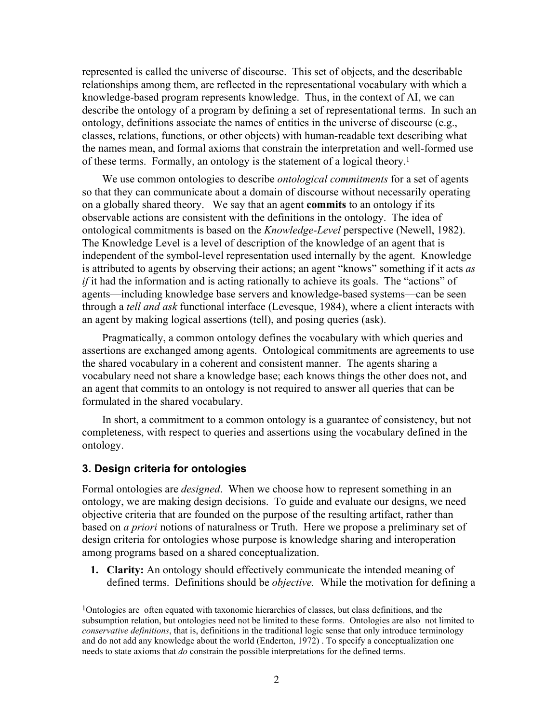represented is called the universe of discourse. This set of objects, and the describable relationships among them, are reflected in the representational vocabulary with which a knowledge-based program represents knowledge. Thus, in the context of AI, we can describe the ontology of a program by defining a set of representational terms. In such an ontology, definitions associate the names of entities in the universe of discourse (e.g., classes, relations, functions, or other objects) with human-readable text describing what the names mean, and formal axioms that constrain the interpretation and well-formed use of these terms. Formally, an ontology is the statement of a logical theory.[1](#page-2-0)

We use common ontologies to describe *ontological commitments* for a set of agents so that they can communicate about a domain of discourse without necessarily operating on a globally shared theory. We say that an agent **commits** to an ontology if its observable actions are consistent with the definitions in the ontology. The idea of ontological commitments is based on the *Knowledge-Level* perspective (Newell, 1982). The Knowledge Level is a level of description of the knowledge of an agent that is independent of the symbol-level representation used internally by the agent. Knowledge is attributed to agents by observing their actions; an agent "knows" something if it acts *as if* it had the information and is acting rationally to achieve its goals. The "actions" of agents—including knowledge base servers and knowledge-based systems—can be seen through a *tell and ask* functional interface (Levesque, 1984), where a client interacts with an agent by making logical assertions (tell), and posing queries (ask).

Pragmatically, a common ontology defines the vocabulary with which queries and assertions are exchanged among agents. Ontological commitments are agreements to use the shared vocabulary in a coherent and consistent manner. The agents sharing a vocabulary need not share a knowledge base; each knows things the other does not, and an agent that commits to an ontology is not required to answer all queries that can be formulated in the shared vocabulary.

In short, a commitment to a common ontology is a guarantee of consistency, but not completeness, with respect to queries and assertions using the vocabulary defined in the ontology.

## **3. Design criteria for ontologies**

 $\overline{a}$ 

Formal ontologies are *designed*. When we choose how to represent something in an ontology, we are making design decisions. To guide and evaluate our designs, we need objective criteria that are founded on the purpose of the resulting artifact, rather than based on *a priori* notions of naturalness or Truth. Here we propose a preliminary set of design criteria for ontologies whose purpose is knowledge sharing and interoperation among programs based on a shared conceptualization.

**1. Clarity:** An ontology should effectively communicate the intended meaning of defined terms. Definitions should be *objective.* While the motivation for defining a

<span id="page-2-0"></span><sup>1</sup>Ontologies are often equated with taxonomic hierarchies of classes, but class definitions, and the subsumption relation, but ontologies need not be limited to these forms. Ontologies are also not limited to *conservative definitions*, that is, definitions in the traditional logic sense that only introduce terminology and do not add any knowledge about the world (Enderton, 1972) . To specify a conceptualization one needs to state axioms that *do* constrain the possible interpretations for the defined terms.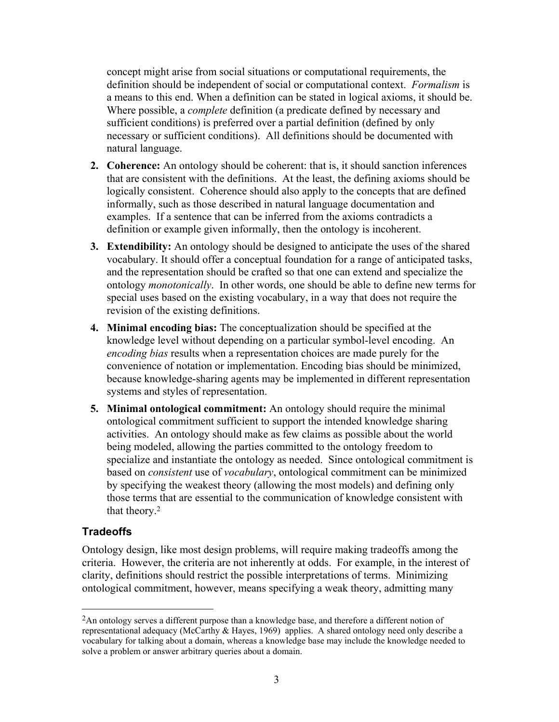concept might arise from social situations or computational requirements, the definition should be independent of social or computational context. *Formalism* is a means to this end. When a definition can be stated in logical axioms, it should be. Where possible, a *complete* definition (a predicate defined by necessary and sufficient conditions) is preferred over a partial definition (defined by only necessary or sufficient conditions). All definitions should be documented with natural language.

- **2. Coherence:** An ontology should be coherent: that is, it should sanction inferences that are consistent with the definitions. At the least, the defining axioms should be logically consistent. Coherence should also apply to the concepts that are defined informally, such as those described in natural language documentation and examples. If a sentence that can be inferred from the axioms contradicts a definition or example given informally, then the ontology is incoherent.
- **3. Extendibility:** An ontology should be designed to anticipate the uses of the shared vocabulary. It should offer a conceptual foundation for a range of anticipated tasks, and the representation should be crafted so that one can extend and specialize the ontology *monotonically*. In other words, one should be able to define new terms for special uses based on the existing vocabulary, in a way that does not require the revision of the existing definitions.
- **4. Minimal encoding bias:** The conceptualization should be specified at the knowledge level without depending on a particular symbol-level encoding. An *encoding bias* results when a representation choices are made purely for the convenience of notation or implementation. Encoding bias should be minimized, because knowledge-sharing agents may be implemented in different representation systems and styles of representation.
- **5. Minimal ontological commitment:** An ontology should require the minimal ontological commitment sufficient to support the intended knowledge sharing activities. An ontology should make as few claims as possible about the world being modeled, allowing the parties committed to the ontology freedom to specialize and instantiate the ontology as needed. Since ontological commitment is based on *consistent* use of *vocabulary*, ontological commitment can be minimized by specifying the weakest theory (allowing the most models) and defining only those terms that are essential to the communication of knowledge consistent with that theory.[2](#page-3-0)

# **Tradeoffs**

 $\overline{a}$ 

Ontology design, like most design problems, will require making tradeoffs among the criteria. However, the criteria are not inherently at odds. For example, in the interest of clarity, definitions should restrict the possible interpretations of terms. Minimizing ontological commitment, however, means specifying a weak theory, admitting many

<span id="page-3-0"></span><sup>&</sup>lt;sup>2</sup>An ontology serves a different purpose than a knowledge base, and therefore a different notion of representational adequacy (McCarthy & Hayes, 1969) applies. A shared ontology need only describe a vocabulary for talking about a domain, whereas a knowledge base may include the knowledge needed to solve a problem or answer arbitrary queries about a domain.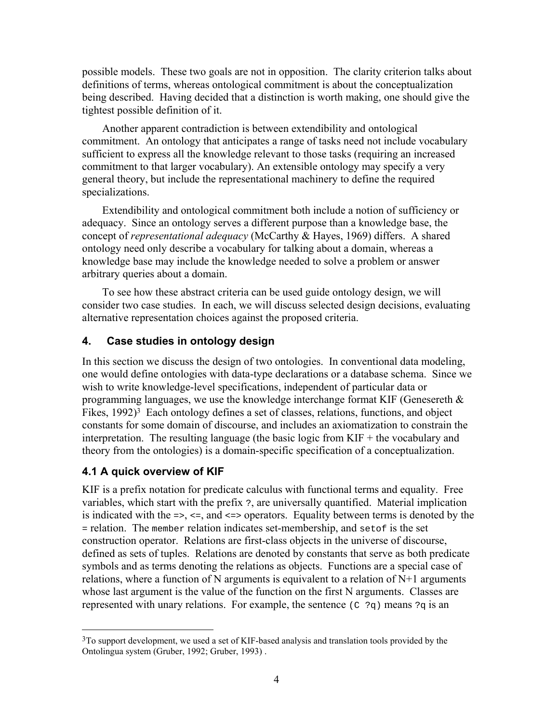possible models. These two goals are not in opposition. The clarity criterion talks about definitions of terms, whereas ontological commitment is about the conceptualization being described. Having decided that a distinction is worth making, one should give the tightest possible definition of it.

Another apparent contradiction is between extendibility and ontological commitment. An ontology that anticipates a range of tasks need not include vocabulary sufficient to express all the knowledge relevant to those tasks (requiring an increased commitment to that larger vocabulary). An extensible ontology may specify a very general theory, but include the representational machinery to define the required specializations.

Extendibility and ontological commitment both include a notion of sufficiency or adequacy. Since an ontology serves a different purpose than a knowledge base, the concept of *representational adequacy* (McCarthy & Hayes, 1969) differs. A shared ontology need only describe a vocabulary for talking about a domain, whereas a knowledge base may include the knowledge needed to solve a problem or answer arbitrary queries about a domain.

To see how these abstract criteria can be used guide ontology design, we will consider two case studies. In each, we will discuss selected design decisions, evaluating alternative representation choices against the proposed criteria.

# **4. Case studies in ontology design**

In this section we discuss the design of two ontologies. In conventional data modeling, one would define ontologies with data-type declarations or a database schema. Since we wish to write knowledge-level specifications, independent of particular data or programming languages, we use the knowledge interchange format KIF (Genesereth  $\&$ Fikes,  $1992$ <sup>3</sup> Each ontology defines a set of classes, relations, functions, and object constants for some domain of discourse, and includes an axiomatization to constrain the interpretation. The resulting language (the basic logic from KIF + the vocabulary and theory from the ontologies) is a domain-specific specification of a conceptualization.

# **4.1 A quick overview of KIF**

 $\overline{a}$ 

KIF is a prefix notation for predicate calculus with functional terms and equality. Free variables, which start with the prefix ?, are universally quantified. Material implication is indicated with the =>, <=, and <=> operators. Equality between terms is denoted by the = relation. The member relation indicates set-membership, and setof is the set construction operator. Relations are first-class objects in the universe of discourse, defined as sets of tuples. Relations are denoted by constants that serve as both predicate symbols and as terms denoting the relations as objects. Functions are a special case of relations, where a function of N arguments is equivalent to a relation of N+1 arguments whose last argument is the value of the function on the first N arguments. Classes are represented with unary relations. For example, the sentence  $(c \cdot q)$  means  $q$  is an

<span id="page-4-0"></span> $3$ To support development, we used a set of KIF-based analysis and translation tools provided by the Ontolingua system (Gruber, 1992; Gruber, 1993) .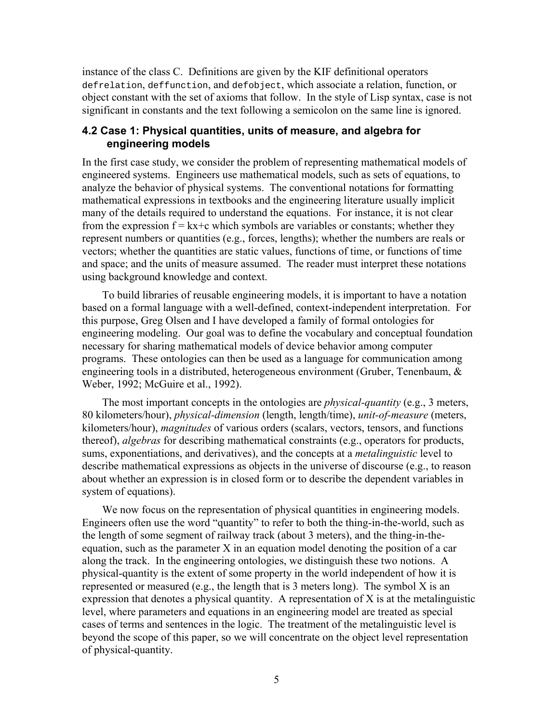instance of the class C. Definitions are given by the KIF definitional operators defrelation, deffunction, and defobject, which associate a relation, function, or object constant with the set of axioms that follow. In the style of Lisp syntax, case is not significant in constants and the text following a semicolon on the same line is ignored.

# **4.2 Case 1: Physical quantities, units of measure, and algebra for engineering models**

In the first case study, we consider the problem of representing mathematical models of engineered systems. Engineers use mathematical models, such as sets of equations, to analyze the behavior of physical systems. The conventional notations for formatting mathematical expressions in textbooks and the engineering literature usually implicit many of the details required to understand the equations. For instance, it is not clear from the expression  $f = kx+c$  which symbols are variables or constants; whether they represent numbers or quantities (e.g., forces, lengths); whether the numbers are reals or vectors; whether the quantities are static values, functions of time, or functions of time and space; and the units of measure assumed. The reader must interpret these notations using background knowledge and context.

To build libraries of reusable engineering models, it is important to have a notation based on a formal language with a well-defined, context-independent interpretation. For this purpose, Greg Olsen and I have developed a family of formal ontologies for engineering modeling. Our goal was to define the vocabulary and conceptual foundation necessary for sharing mathematical models of device behavior among computer programs. These ontologies can then be used as a language for communication among engineering tools in a distributed, heterogeneous environment (Gruber, Tenenbaum, & Weber, 1992; McGuire et al., 1992).

The most important concepts in the ontologies are *physical-quantity* (e.g., 3 meters, 80 kilometers/hour), *physical-dimension* (length, length/time), *unit-of-measure* (meters, kilometers/hour), *magnitudes* of various orders (scalars, vectors, tensors, and functions thereof), *algebras* for describing mathematical constraints (e.g., operators for products, sums, exponentiations, and derivatives), and the concepts at a *metalinguistic* level to describe mathematical expressions as objects in the universe of discourse (e.g., to reason about whether an expression is in closed form or to describe the dependent variables in system of equations).

We now focus on the representation of physical quantities in engineering models. Engineers often use the word "quantity" to refer to both the thing-in-the-world, such as the length of some segment of railway track (about 3 meters), and the thing-in-theequation, such as the parameter  $X$  in an equation model denoting the position of a car along the track. In the engineering ontologies, we distinguish these two notions. A physical-quantity is the extent of some property in the world independent of how it is represented or measured (e.g., the length that is 3 meters long). The symbol X is an expression that denotes a physical quantity. A representation of X is at the metalinguistic level, where parameters and equations in an engineering model are treated as special cases of terms and sentences in the logic. The treatment of the metalinguistic level is beyond the scope of this paper, so we will concentrate on the object level representation of physical-quantity.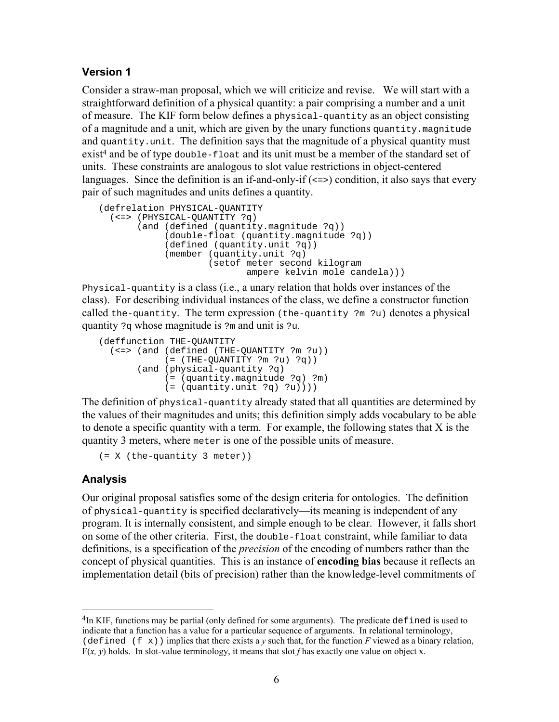# **Version 1**

Consider a straw-man proposal, which we will criticize and revise. We will start with a straightforward definition of a physical quantity: a pair comprising a number and a unit of measure. The KIF form below defines a physical-quantity as an object consisting of a magnitude and a unit, which are given by the unary functions quantity.magnitude and quantity.unit. The definition says that the magnitude of a physical quantity must exist<sup>4</sup> and be of type  $\delta$  double-float and its unit must be a member of the standard set of units. These constraints are analogous to slot value restrictions in object-centered languages. Since the definition is an if-and-only-if  $(\le)$  condition, it also says that every pair of such magnitudes and units defines a quantity.

```
(defrelation PHYSICAL-QUANTITY 
   (<=> (PHYSICAL-QUANTITY ?q) 
        (and (defined (quantity.magnitude ?q)) 
              (double-float (quantity.magnitude ?q)) 
            (defined (quantity.unit ?q))
             (member (quantity.unit ?q) 
                      (setof meter second kilogram 
                             ampere kelvin mole candela)))
```
Physical-quantity is a class (i.e., a unary relation that holds over instances of the class). For describing individual instances of the class, we define a constructor function called the-quantity. The term expression (the-quantity ?m ?u) denotes a physical quantity ?q whose magnitude is ?m and unit is ?u.

```
(deffunction THE-QUANTITY 
  (<=> (and (defined (THE-QUANTITY ?m ?u)) 
            ( = (THE-QUANTITY  ?m ?u) ?q)) (and (physical-quantity ?q) 
             (= (quantity.magnitude ?q) ?m) 
            ( = (quantity.unit ?q) ?u)))
```
The definition of physical-quantity already stated that all quantities are determined by the values of their magnitudes and units; this definition simply adds vocabulary to be able to denote a specific quantity with a term. For example, the following states that X is the quantity 3 meters, where meter is one of the possible units of measure.

(= X (the-quantity 3 meter))

## **Analysis**

1

Our original proposal satisfies some of the design criteria for ontologies. The definition of physical-quantity is specified declaratively—its meaning is independent of any program. It is internally consistent, and simple enough to be clear. However, it falls short on some of the other criteria. First, the double-float constraint, while familiar to data definitions, is a specification of the *precision* of the encoding of numbers rather than the concept of physical quantities. This is an instance of **encoding bias** because it reflects an implementation detail (bits of precision) rather than the knowledge-level commitments of

<span id="page-6-0"></span> $4$ In KIF, functions may be partial (only defined for some arguments). The predicate defined is used to indicate that a function has a value for a particular sequence of arguments. In relational terminology, (defined (f  $\times$ )) implies that there exists a *y* such that, for the function *F* viewed as a binary relation, F(*x, y*) holds. In slot-value terminology, it means that slot *f* has exactly one value on object x.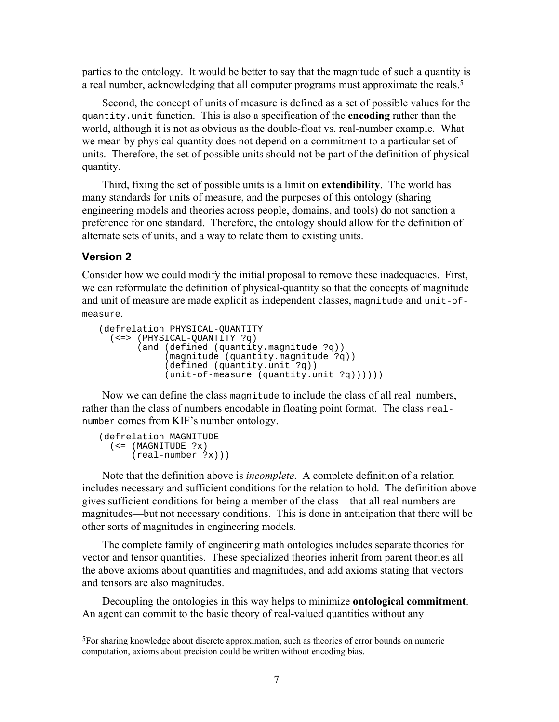parties to the ontology. It would be better to say that the magnitude of such a quantity is a real number, acknowledging that all computer programs must approximate the reals.<sup>[5](#page-7-0)</sup>

Second, the concept of units of measure is defined as a set of possible values for the quantity.unit function. This is also a specification of the **encoding** rather than the world, although it is not as obvious as the double-float vs. real-number example. What we mean by physical quantity does not depend on a commitment to a particular set of units. Therefore, the set of possible units should not be part of the definition of physicalquantity.

Third, fixing the set of possible units is a limit on **extendibility**. The world has many standards for units of measure, and the purposes of this ontology (sharing engineering models and theories across people, domains, and tools) do not sanction a preference for one standard. Therefore, the ontology should allow for the definition of alternate sets of units, and a way to relate them to existing units.

#### **Version 2**

 $\overline{a}$ 

Consider how we could modify the initial proposal to remove these inadequacies. First, we can reformulate the definition of physical-quantity so that the concepts of magnitude and unit of measure are made explicit as independent classes, magnitude and unit-ofmeasure.

```
(defrelation PHYSICAL-QUANTITY 
   (<=> (PHYSICAL-QUANTITY ?q) 
        (and (defined (quantity.magnitude ?q)) 
            (magnitude (quantity.magnitude ?q))
              (defined (quantity.unit ?q)) 
            (unit-of-measure (quantity.unit ?q))))))
```
Now we can define the class magnitude to include the class of all real numbers, rather than the class of numbers encodable in floating point format. The class realnumber comes from KIF's number ontology.

```
(defrelation MAGNITUDE 
  (<= (MAGNITUDE ?x)
       (real-number ?x)))
```
Note that the definition above is *incomplete*. A complete definition of a relation includes necessary and sufficient conditions for the relation to hold. The definition above gives sufficient conditions for being a member of the class—that all real numbers are magnitudes—but not necessary conditions. This is done in anticipation that there will be other sorts of magnitudes in engineering models.

The complete family of engineering math ontologies includes separate theories for vector and tensor quantities. These specialized theories inherit from parent theories all the above axioms about quantities and magnitudes, and add axioms stating that vectors and tensors are also magnitudes.

Decoupling the ontologies in this way helps to minimize **ontological commitment**. An agent can commit to the basic theory of real-valued quantities without any

<span id="page-7-0"></span><sup>5</sup>For sharing knowledge about discrete approximation, such as theories of error bounds on numeric computation, axioms about precision could be written without encoding bias.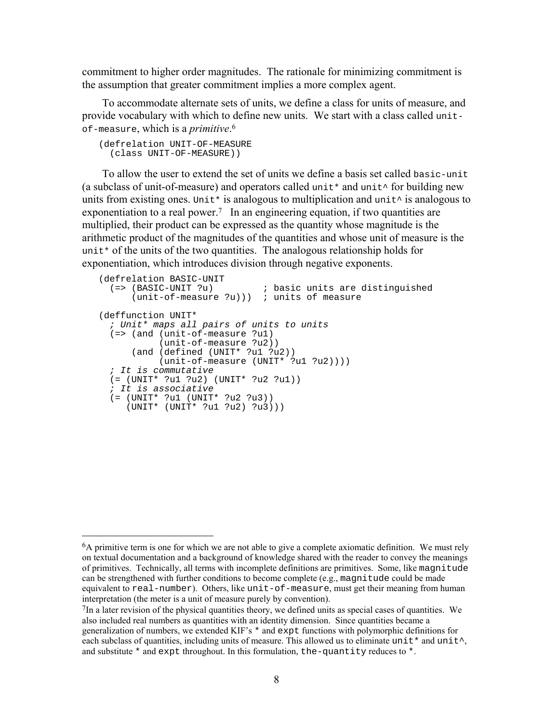commitment to higher order magnitudes. The rationale for minimizing commitment is the assumption that greater commitment implies a more complex agent.

To accommodate alternate sets of units, we define a class for units of measure, and provide vocabulary with which to define new units. We start with a class called unitof-measure, which is a *primitive*[.6](#page-8-0)

```
(defrelation UNIT-OF-MEASURE 
   (class UNIT-OF-MEASURE))
```
 $\overline{a}$ 

To allow the user to extend the set of units we define a basis set called basic-unit (a subclass of unit-of-measure) and operators called unit<sup>\*</sup> and unit<sup>\*</sup> for building new units from existing ones. Unit  $*$  is analogous to multiplication and unit  $*$  is analogous to exponentiation to a real power.<sup>7</sup> In an engineering equation, if two quantities are multiplied, their product can be expressed as the quantity whose magnitude is the arithmetic product of the magnitudes of the quantities and whose unit of measure is the unit<sup>\*</sup> of the units of the two quantities. The analogous relationship holds for exponentiation, which introduces division through negative exponents.

```
(defrelation BASIC-UNIT<br>(=> (BASIC-UNIT ?u)
                                 ; basic units are distinguished
       (unit-of-measure ?u))) ; units of measure 
(deffunction UNIT* 
   ; Unit* maps all pairs of units to units 
   (=> (and (unit-of-measure ?u1) 
             (unit-of-measure ?u2)) 
       (and (defined (UNIT* ?u1 ?u2)) 
             (unit-of-measure (UNIT* ?u1 ?u2)))) 
   ; It is commutative 
  ( = ( UNIT* ?u1 ?u2) ( UNIT* ?u2 ?u1) ) ; It is associative 
   (= (UNIT* ?u1 (UNIT* ?u2 ?u3)) 
      (UNIT* (UNIT* ?u1 ?u2) ?u3)))
```
<span id="page-8-0"></span> $6A$  primitive term is one for which we are not able to give a complete axiomatic definition. We must rely on textual documentation and a background of knowledge shared with the reader to convey the meanings of primitives. Technically, all terms with incomplete definitions are primitives. Some, like magnitude can be strengthened with further conditions to become complete (e.g., magnitude could be made equivalent to real-number). Others, like unit-of-measure, must get their meaning from human interpretation (the meter is a unit of measure purely by convention).

<span id="page-8-1"></span> $7$ In a later revision of the physical quantities theory, we defined units as special cases of quantities. We also included real numbers as quantities with an identity dimension. Since quantities became a generalization of numbers, we extended KIF's \* and expt functions with polymorphic definitions for each subclass of quantities, including units of measure. This allowed us to eliminate unit\* and unit\*, and substitute \* and expt throughout. In this formulation, the-quantity reduces to \*.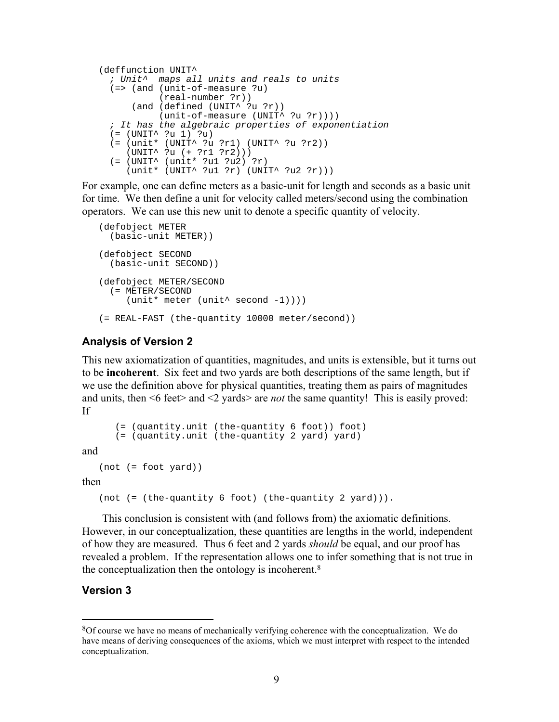```
(deffunction UNIT^ 
   ; Unit^ maps all units and reals to units 
   (=> (and (unit-of-measure ?u) 
             (real-number ?r)) 
        (and (defined (UNIT^ ?u ?r)) 
             (unit-of-measure (UNIT^ ?u ?r)))) 
   ; It has the algebraic properties of exponentiation
  ( = ( UNIT<sup>\land</sup> ?u 1)<sup>\degree</sup> ?u )( = (unit* (UNIT^ ?u ?r1) (UNIT^ ?u ?r2))
     (UNIT^2 ?u (+ ?r1 ?r2)))
  ( = (UNIT<sup>^</sup> (unit<sup>*</sup> ?u1 ?u2) ?r)
      (unit* (UNIT^ ?u1 ?r) (UNIT^ ?u2 ?r)))
```
For example, one can define meters as a basic-unit for length and seconds as a basic unit for time. We then define a unit for velocity called meters/second using the combination operators. We can use this new unit to denote a specific quantity of velocity.

```
(defobject METER 
   (basic-unit METER)) 
(defobject SECOND 
   (basic-unit SECOND)) 
(defobject METER/SECOND 
   (= METER/SECOND 
     (\text{unit* meter } (\text{unit* second } -1))))(= REAL-FAST (the-quantity 10000 meter/second))
```
#### **Analysis of Version 2**

This new axiomatization of quantities, magnitudes, and units is extensible, but it turns out to be **incoherent**. Six feet and two yards are both descriptions of the same length, but if we use the definition above for physical quantities, treating them as pairs of magnitudes and units, then <6 feet> and <2 yards> are *not* the same quantity! This is easily proved: If

```
(= (quantity.unit (the-quantity 6 foot)) foot) 
      (= (quantity.unit (the-quantity 2 yard) yard) 
and 
   (not (= foot yard)) 
then 
   (not (= (the-quantity 6 foot) (the-quantity 2 yard))).
```
This conclusion is consistent with (and follows from) the axiomatic definitions. However, in our conceptualization, these quantities are lengths in the world, independent of how they are measured. Thus 6 feet and 2 yards *should* be equal, and our proof has revealed a problem. If the representation allows one to infer something that is not true in the conceptualization then the ontology is incoherent[.8](#page-9-0)

#### **Version 3**

 $\overline{a}$ 

<span id="page-9-0"></span><sup>8</sup>Of course we have no means of mechanically verifying coherence with the conceptualization. We do have means of deriving consequences of the axioms, which we must interpret with respect to the intended conceptualization.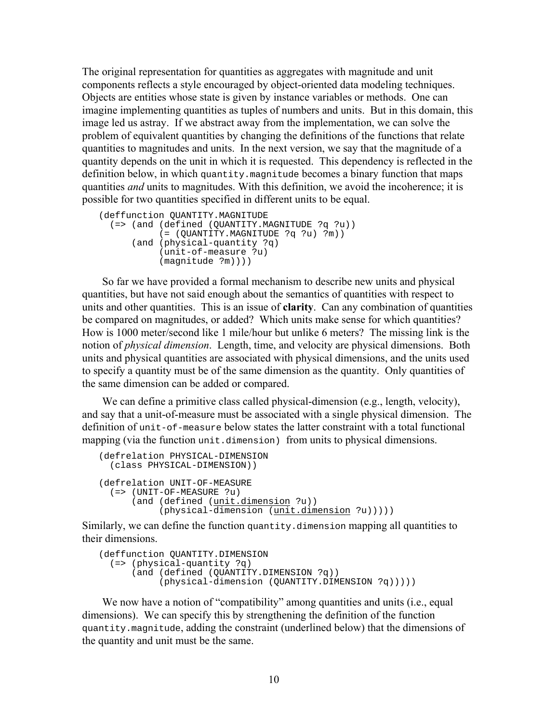The original representation for quantities as aggregates with magnitude and unit components reflects a style encouraged by object-oriented data modeling techniques. Objects are entities whose state is given by instance variables or methods. One can imagine implementing quantities as tuples of numbers and units. But in this domain, this image led us astray. If we abstract away from the implementation, we can solve the problem of equivalent quantities by changing the definitions of the functions that relate quantities to magnitudes and units. In the next version, we say that the magnitude of a quantity depends on the unit in which it is requested. This dependency is reflected in the definition below, in which quantity.magnitude becomes a binary function that maps quantities *and* units to magnitudes. With this definition, we avoid the incoherence; it is possible for two quantities specified in different units to be equal.

```
(deffunction QUANTITY.MAGNITUDE 
   (=> (and (defined (QUANTITY.MAGNITUDE ?q ?u)) 
            (= (QUANTITY.MAGNITUDE ?q ?u) ?m)) 
       (and (physical-quantity ?q) 
            (unit-of-measure ?u) 
            (magnitude ?m))))
```
So far we have provided a formal mechanism to describe new units and physical quantities, but have not said enough about the semantics of quantities with respect to units and other quantities. This is an issue of **clarity**. Can any combination of quantities be compared on magnitudes, or added? Which units make sense for which quantities? How is 1000 meter/second like 1 mile/hour but unlike 6 meters? The missing link is the notion of *physical dimension*. Length, time, and velocity are physical dimensions. Both units and physical quantities are associated with physical dimensions, and the units used to specify a quantity must be of the same dimension as the quantity. Only quantities of the same dimension can be added or compared.

We can define a primitive class called physical-dimension (e.g., length, velocity), and say that a unit-of-measure must be associated with a single physical dimension. The definition of unit-of-measure below states the latter constraint with a total functional mapping (via the function unit.dimension) from units to physical dimensions.

```
(defrelation PHYSICAL-DIMENSION 
   (class PHYSICAL-DIMENSION)) 
(defrelation UNIT-OF-MEASURE 
   (=> (UNIT-OF-MEASURE ?u) 
      (and (defined (unit.dimension ?u)) 
           (physical-dimension (unit.dimension ?u)))))
```
Similarly, we can define the function quantity.dimension mapping all quantities to their dimensions.

```
(deffunction QUANTITY.DIMENSION 
   (=> (physical-quantity ?q) 
       (and (defined (QUANTITY.DIMENSION ?q)) 
            (physical-dimension (QUANTITY.DIMENSION ?q)))))
```
We now have a notion of "compatibility" among quantities and units (i.e., equal dimensions). We can specify this by strengthening the definition of the function quantity.magnitude, adding the constraint (underlined below) that the dimensions of the quantity and unit must be the same.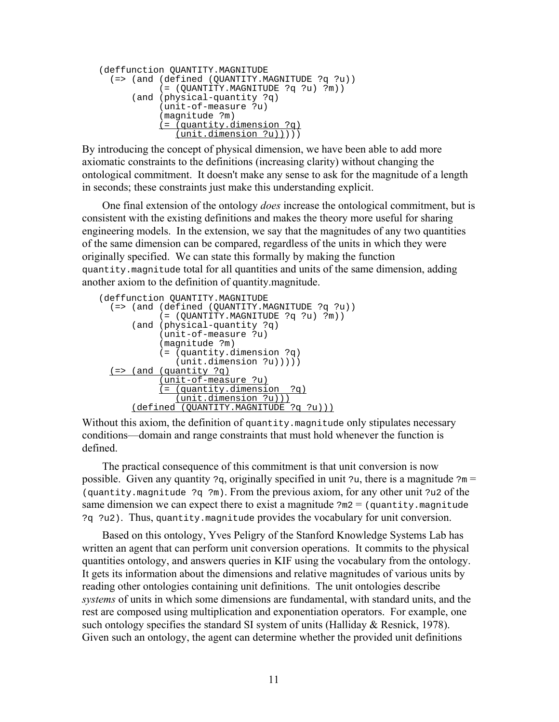```
(deffunction QUANTITY.MAGNITUDE 
   (=> (and (defined (QUANTITY.MAGNITUDE ?q ?u)) 
            (= (QUANTITY.MAGNITUDE ?q ?u) ?m)) 
       (and (physical-quantity ?q) 
            (unit-of-measure ?u) 
            (magnitude ?m) 
           (= (quantity.dimension ?q)
              (unit.dimension ?u)))))
```
By introducing the concept of physical dimension, we have been able to add more axiomatic constraints to the definitions (increasing clarity) without changing the ontological commitment. It doesn't make any sense to ask for the magnitude of a length in seconds; these constraints just make this understanding explicit.

One final extension of the ontology *does* increase the ontological commitment, but is consistent with the existing definitions and makes the theory more useful for sharing engineering models. In the extension, we say that the magnitudes of any two quantities of the same dimension can be compared, regardless of the units in which they were originally specified. We can state this formally by making the function quantity.magnitude total for all quantities and units of the same dimension, adding another axiom to the definition of quantity.magnitude.

```
(deffunction QUANTITY.MAGNITUDE 
   (=> (and (defined (QUANTITY.MAGNITUDE ?q ?u)) 
            (= (QUANTITY.MAGNITUDE ?q ?u) ?m)) 
       (and (physical-quantity ?q) 
            (unit-of-measure ?u) 
            (magnitude ?m) 
            (= (quantity.dimension ?q) 
               (unit.dimension ?u))))) 
  (=> (and (quantity ?q)
           (unit-of-measure ?u)
           (= (quantity.dimension ?q)
              (unit.dimension ?u)))
      (defined (QUANTITY.MAGNITUDE ?q ?u)))
```
Without this axiom, the definition of quantity.magnitude only stipulates necessary conditions—domain and range constraints that must hold whenever the function is defined.

The practical consequence of this commitment is that unit conversion is now possible. Given any quantity  $q<sub>q</sub>$ , originally specified in unit  $q<sub>u</sub>$ , there is a magnitude  $q<sub>m</sub> =$ (quantity.magnitude ?q ?m). From the previous axiom, for any other unit ?u2 of the same dimension we can expect there to exist a magnitude  $2m^2 = (quantity.\text{magnitude})$ ?q ?u2). Thus, quantity.magnitude provides the vocabulary for unit conversion.

Based on this ontology, Yves Peligry of the Stanford Knowledge Systems Lab has written an agent that can perform unit conversion operations. It commits to the physical quantities ontology, and answers queries in KIF using the vocabulary from the ontology. It gets its information about the dimensions and relative magnitudes of various units by reading other ontologies containing unit definitions. The unit ontologies describe *systems* of units in which some dimensions are fundamental, with standard units, and the rest are composed using multiplication and exponentiation operators. For example, one such ontology specifies the standard SI system of units (Halliday  $\&$  Resnick, 1978). Given such an ontology, the agent can determine whether the provided unit definitions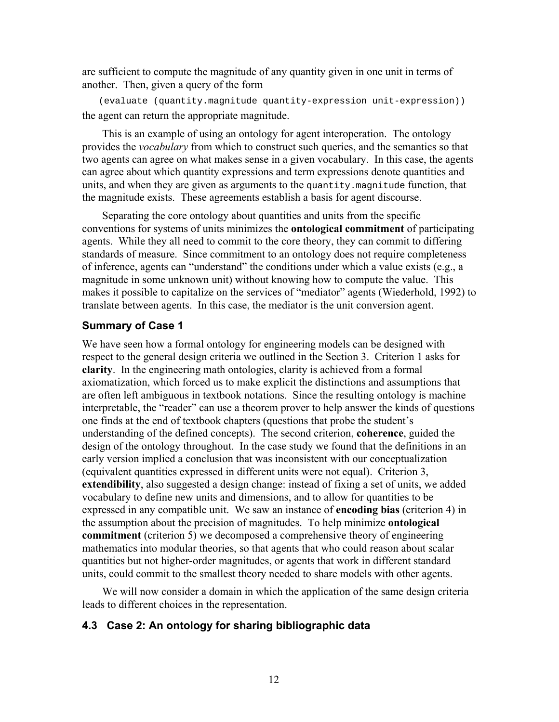are sufficient to compute the magnitude of any quantity given in one unit in terms of another. Then, given a query of the form

(evaluate (quantity.magnitude quantity-expression unit-expression)) the agent can return the appropriate magnitude.

This is an example of using an ontology for agent interoperation. The ontology provides the *vocabulary* from which to construct such queries, and the semantics so that two agents can agree on what makes sense in a given vocabulary. In this case, the agents can agree about which quantity expressions and term expressions denote quantities and units, and when they are given as arguments to the quantity.magnitude function, that the magnitude exists. These agreements establish a basis for agent discourse.

Separating the core ontology about quantities and units from the specific conventions for systems of units minimizes the **ontological commitment** of participating agents. While they all need to commit to the core theory, they can commit to differing standards of measure. Since commitment to an ontology does not require completeness of inference, agents can "understand" the conditions under which a value exists (e.g., a magnitude in some unknown unit) without knowing how to compute the value. This makes it possible to capitalize on the services of "mediator" agents (Wiederhold, 1992) to translate between agents. In this case, the mediator is the unit conversion agent.

## **Summary of Case 1**

We have seen how a formal ontology for engineering models can be designed with respect to the general design criteria we outlined in the Section 3. Criterion 1 asks for **clarity**. In the engineering math ontologies, clarity is achieved from a formal axiomatization, which forced us to make explicit the distinctions and assumptions that are often left ambiguous in textbook notations. Since the resulting ontology is machine interpretable, the "reader" can use a theorem prover to help answer the kinds of questions one finds at the end of textbook chapters (questions that probe the student's understanding of the defined concepts). The second criterion, **coherence**, guided the design of the ontology throughout. In the case study we found that the definitions in an early version implied a conclusion that was inconsistent with our conceptualization (equivalent quantities expressed in different units were not equal). Criterion 3, **extendibility**, also suggested a design change: instead of fixing a set of units, we added vocabulary to define new units and dimensions, and to allow for quantities to be expressed in any compatible unit. We saw an instance of **encoding bias** (criterion 4) in the assumption about the precision of magnitudes. To help minimize **ontological commitment** (criterion 5) we decomposed a comprehensive theory of engineering mathematics into modular theories, so that agents that who could reason about scalar quantities but not higher-order magnitudes, or agents that work in different standard units, could commit to the smallest theory needed to share models with other agents.

We will now consider a domain in which the application of the same design criteria leads to different choices in the representation.

## **4.3 Case 2: An ontology for sharing bibliographic data**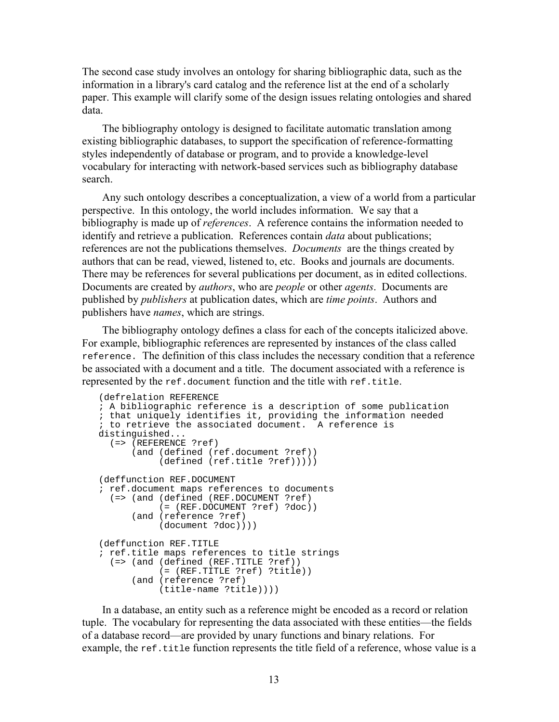The second case study involves an ontology for sharing bibliographic data, such as the information in a library's card catalog and the reference list at the end of a scholarly paper. This example will clarify some of the design issues relating ontologies and shared data.

The bibliography ontology is designed to facilitate automatic translation among existing bibliographic databases, to support the specification of reference-formatting styles independently of database or program, and to provide a knowledge-level vocabulary for interacting with network-based services such as bibliography database search.

Any such ontology describes a conceptualization, a view of a world from a particular perspective. In this ontology, the world includes information. We say that a bibliography is made up of *references*. A reference contains the information needed to identify and retrieve a publication. References contain *data* about publications; references are not the publications themselves. *Documents* are the things created by authors that can be read, viewed, listened to, etc. Books and journals are documents. There may be references for several publications per document, as in edited collections. Documents are created by *authors*, who are *people* or other *agents*. Documents are published by *publishers* at publication dates, which are *time points*. Authors and publishers have *names*, which are strings.

The bibliography ontology defines a class for each of the concepts italicized above. For example, bibliographic references are represented by instances of the class called reference. The definition of this class includes the necessary condition that a reference be associated with a document and a title. The document associated with a reference is represented by the ref.document function and the title with ref.title.

```
(defrelation REFERENCE 
; A bibliographic reference is a description of some publication 
; that uniquely identifies it, providing the information needed 
; to retrieve the associated document. A reference is 
distinguished... 
   (=> (REFERENCE ?ref) 
       (and (defined (ref.document ?ref)) 
             (defined (ref.title ?ref))))) 
(deffunction REF.DOCUMENT 
; ref.document maps references to documents 
   (=> (and (defined (REF.DOCUMENT ?ref) 
            (= (REF.DOCUMENT ?ref) ?doc)) 
       (and (reference ?ref) 
            (document ?doc)))) 
(deffunction REF.TITLE 
; ref.title maps references to title strings 
   (=> (and (defined (REF.TITLE ?ref)) 
            (= (REF.TITLE ?ref) ?title)) 
       (and (reference ?ref) 
            (title-name ?title))))
```
In a database, an entity such as a reference might be encoded as a record or relation tuple. The vocabulary for representing the data associated with these entities—the fields of a database record—are provided by unary functions and binary relations. For example, the ref.title function represents the title field of a reference, whose value is a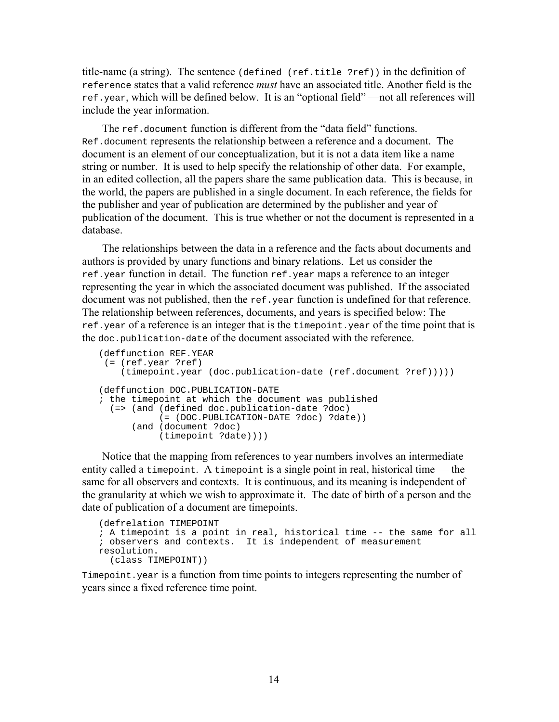title-name (a string). The sentence (defined (ref.title ?ref)) in the definition of reference states that a valid reference *must* have an associated title. Another field is the ref.year, which will be defined below. It is an "optional field" —not all references will include the year information.

The ref.document function is different from the "data field" functions. Ref.document represents the relationship between a reference and a document. The document is an element of our conceptualization, but it is not a data item like a name string or number. It is used to help specify the relationship of other data. For example, in an edited collection, all the papers share the same publication data. This is because, in the world, the papers are published in a single document. In each reference, the fields for the publisher and year of publication are determined by the publisher and year of publication of the document. This is true whether or not the document is represented in a database.

The relationships between the data in a reference and the facts about documents and authors is provided by unary functions and binary relations. Let us consider the ref.year function in detail. The function ref.year maps a reference to an integer representing the year in which the associated document was published. If the associated document was not published, then the  $r \in f$ . year function is undefined for that reference. The relationship between references, documents, and years is specified below: The ref.year of a reference is an integer that is the timepoint.year of the time point that is the doc.publication-date of the document associated with the reference.

```
(deffunction REF.YEAR 
  (= (ref.year ?ref) 
     (timepoint.year (doc.publication-date (ref.document ?ref))))) 
(deffunction DOC.PUBLICATION-DATE 
; the timepoint at which the document was published 
   (=> (and (defined doc.publication-date ?doc) 
            (= (DOC.PUBLICATION-DATE ?doc) ?date)) 
       (and (document ?doc) 
            (timepoint ?date))))
```
Notice that the mapping from references to year numbers involves an intermediate entity called a timepoint. A timepoint is a single point in real, historical time — the same for all observers and contexts. It is continuous, and its meaning is independent of the granularity at which we wish to approximate it. The date of birth of a person and the date of publication of a document are timepoints.

```
(defrelation TIMEPOINT 
; A timepoint is a point in real, historical time -- the same for all 
; observers and contexts. It is independent of measurement 
resolution. 
   (class TIMEPOINT))
```
Timepoint.year is a function from time points to integers representing the number of years since a fixed reference time point.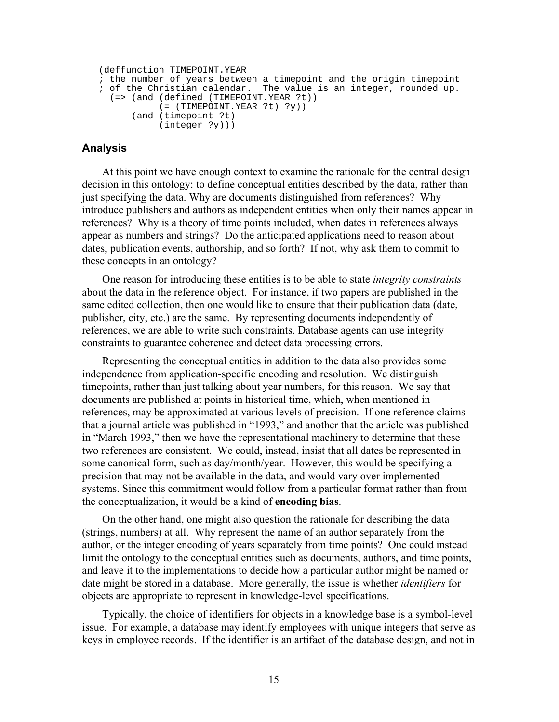```
(deffunction TIMEPOINT.YEAR 
; the number of years between a timepoint and the origin timepoint 
; of the Christian calendar. The value is an integer, rounded up. 
  (=> (and (defined (TIMEPOINT.YEAR ?t)) 
           ( = (TIMEPOINT.YEAR ?t) ?y)) (and (timepoint ?t) 
            (integer ?y)))
```
#### **Analysis**

At this point we have enough context to examine the rationale for the central design decision in this ontology: to define conceptual entities described by the data, rather than just specifying the data. Why are documents distinguished from references? Why introduce publishers and authors as independent entities when only their names appear in references? Why is a theory of time points included, when dates in references always appear as numbers and strings? Do the anticipated applications need to reason about dates, publication events, authorship, and so forth? If not, why ask them to commit to these concepts in an ontology?

One reason for introducing these entities is to be able to state *integrity constraints* about the data in the reference object. For instance, if two papers are published in the same edited collection, then one would like to ensure that their publication data (date, publisher, city, etc.) are the same. By representing documents independently of references, we are able to write such constraints. Database agents can use integrity constraints to guarantee coherence and detect data processing errors.

Representing the conceptual entities in addition to the data also provides some independence from application-specific encoding and resolution. We distinguish timepoints, rather than just talking about year numbers, for this reason. We say that documents are published at points in historical time, which, when mentioned in references, may be approximated at various levels of precision. If one reference claims that a journal article was published in "1993," and another that the article was published in "March 1993," then we have the representational machinery to determine that these two references are consistent. We could, instead, insist that all dates be represented in some canonical form, such as day/month/year. However, this would be specifying a precision that may not be available in the data, and would vary over implemented systems. Since this commitment would follow from a particular format rather than from the conceptualization, it would be a kind of **encoding bias**.

On the other hand, one might also question the rationale for describing the data (strings, numbers) at all. Why represent the name of an author separately from the author, or the integer encoding of years separately from time points? One could instead limit the ontology to the conceptual entities such as documents, authors, and time points, and leave it to the implementations to decide how a particular author might be named or date might be stored in a database. More generally, the issue is whether *identifiers* for objects are appropriate to represent in knowledge-level specifications.

Typically, the choice of identifiers for objects in a knowledge base is a symbol-level issue. For example, a database may identify employees with unique integers that serve as keys in employee records. If the identifier is an artifact of the database design, and not in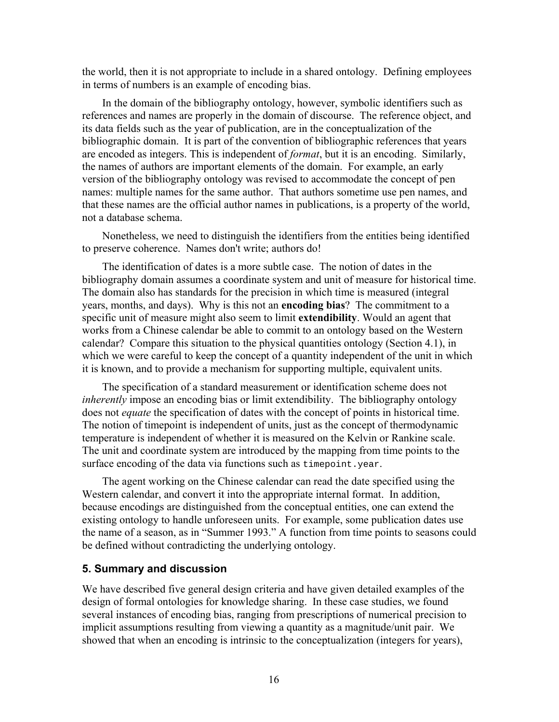the world, then it is not appropriate to include in a shared ontology. Defining employees in terms of numbers is an example of encoding bias.

In the domain of the bibliography ontology, however, symbolic identifiers such as references and names are properly in the domain of discourse. The reference object, and its data fields such as the year of publication, are in the conceptualization of the bibliographic domain. It is part of the convention of bibliographic references that years are encoded as integers. This is independent of *format*, but it is an encoding. Similarly, the names of authors are important elements of the domain. For example, an early version of the bibliography ontology was revised to accommodate the concept of pen names: multiple names for the same author. That authors sometime use pen names, and that these names are the official author names in publications, is a property of the world, not a database schema.

Nonetheless, we need to distinguish the identifiers from the entities being identified to preserve coherence. Names don't write; authors do!

The identification of dates is a more subtle case. The notion of dates in the bibliography domain assumes a coordinate system and unit of measure for historical time. The domain also has standards for the precision in which time is measured (integral years, months, and days). Why is this not an **encoding bias**? The commitment to a specific unit of measure might also seem to limit **extendibility**. Would an agent that works from a Chinese calendar be able to commit to an ontology based on the Western calendar? Compare this situation to the physical quantities ontology (Section 4.1), in which we were careful to keep the concept of a quantity independent of the unit in which it is known, and to provide a mechanism for supporting multiple, equivalent units.

The specification of a standard measurement or identification scheme does not *inherently* impose an encoding bias or limit extendibility. The bibliography ontology does not *equate* the specification of dates with the concept of points in historical time. The notion of timepoint is independent of units, just as the concept of thermodynamic temperature is independent of whether it is measured on the Kelvin or Rankine scale. The unit and coordinate system are introduced by the mapping from time points to the surface encoding of the data via functions such as timepoint.year.

The agent working on the Chinese calendar can read the date specified using the Western calendar, and convert it into the appropriate internal format. In addition, because encodings are distinguished from the conceptual entities, one can extend the existing ontology to handle unforeseen units. For example, some publication dates use the name of a season, as in "Summer 1993." A function from time points to seasons could be defined without contradicting the underlying ontology.

#### **5. Summary and discussion**

We have described five general design criteria and have given detailed examples of the design of formal ontologies for knowledge sharing. In these case studies, we found several instances of encoding bias, ranging from prescriptions of numerical precision to implicit assumptions resulting from viewing a quantity as a magnitude/unit pair. We showed that when an encoding is intrinsic to the conceptualization (integers for years),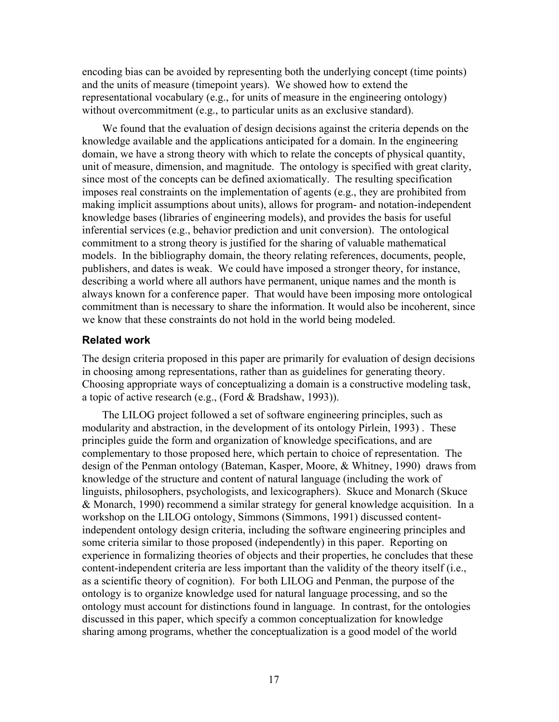encoding bias can be avoided by representing both the underlying concept (time points) and the units of measure (timepoint years). We showed how to extend the representational vocabulary (e.g., for units of measure in the engineering ontology) without overcommitment (e.g., to particular units as an exclusive standard).

We found that the evaluation of design decisions against the criteria depends on the knowledge available and the applications anticipated for a domain. In the engineering domain, we have a strong theory with which to relate the concepts of physical quantity, unit of measure, dimension, and magnitude. The ontology is specified with great clarity, since most of the concepts can be defined axiomatically. The resulting specification imposes real constraints on the implementation of agents (e.g., they are prohibited from making implicit assumptions about units), allows for program- and notation-independent knowledge bases (libraries of engineering models), and provides the basis for useful inferential services (e.g., behavior prediction and unit conversion). The ontological commitment to a strong theory is justified for the sharing of valuable mathematical models. In the bibliography domain, the theory relating references, documents, people, publishers, and dates is weak. We could have imposed a stronger theory, for instance, describing a world where all authors have permanent, unique names and the month is always known for a conference paper. That would have been imposing more ontological commitment than is necessary to share the information. It would also be incoherent, since we know that these constraints do not hold in the world being modeled.

# **Related work**

The design criteria proposed in this paper are primarily for evaluation of design decisions in choosing among representations, rather than as guidelines for generating theory. Choosing appropriate ways of conceptualizing a domain is a constructive modeling task, a topic of active research (e.g., (Ford & Bradshaw, 1993)).

The LILOG project followed a set of software engineering principles, such as modularity and abstraction, in the development of its ontology Pirlein, 1993) . These principles guide the form and organization of knowledge specifications, and are complementary to those proposed here, which pertain to choice of representation. The design of the Penman ontology (Bateman, Kasper, Moore, & Whitney, 1990) draws from knowledge of the structure and content of natural language (including the work of linguists, philosophers, psychologists, and lexicographers). Skuce and Monarch (Skuce & Monarch, 1990) recommend a similar strategy for general knowledge acquisition. In a workshop on the LILOG ontology, Simmons (Simmons, 1991) discussed contentindependent ontology design criteria, including the software engineering principles and some criteria similar to those proposed (independently) in this paper. Reporting on experience in formalizing theories of objects and their properties, he concludes that these content-independent criteria are less important than the validity of the theory itself (i.e., as a scientific theory of cognition). For both LILOG and Penman, the purpose of the ontology is to organize knowledge used for natural language processing, and so the ontology must account for distinctions found in language. In contrast, for the ontologies discussed in this paper, which specify a common conceptualization for knowledge sharing among programs, whether the conceptualization is a good model of the world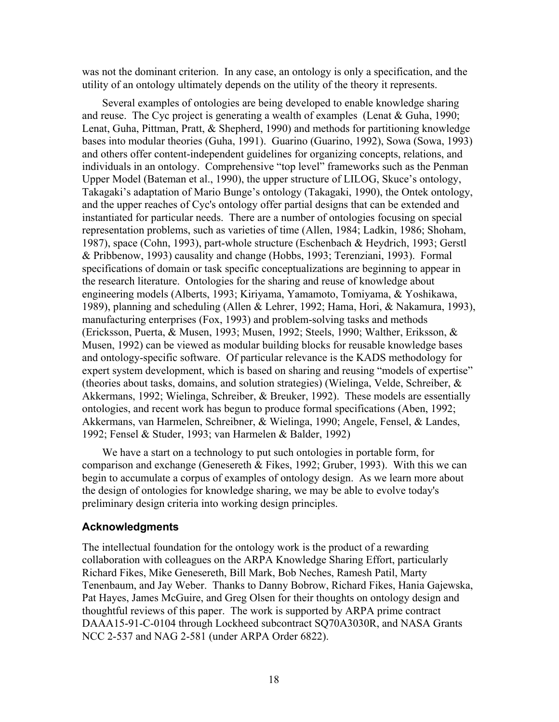was not the dominant criterion. In any case, an ontology is only a specification, and the utility of an ontology ultimately depends on the utility of the theory it represents.

Several examples of ontologies are being developed to enable knowledge sharing and reuse. The Cyc project is generating a wealth of examples (Lenat & Guha, 1990; Lenat, Guha, Pittman, Pratt, & Shepherd, 1990) and methods for partitioning knowledge bases into modular theories (Guha, 1991). Guarino (Guarino, 1992), Sowa (Sowa, 1993) and others offer content-independent guidelines for organizing concepts, relations, and individuals in an ontology. Comprehensive "top level" frameworks such as the Penman Upper Model (Bateman et al., 1990), the upper structure of LILOG, Skuce's ontology, Takagaki's adaptation of Mario Bunge's ontology (Takagaki, 1990), the Ontek ontology, and the upper reaches of Cyc's ontology offer partial designs that can be extended and instantiated for particular needs. There are a number of ontologies focusing on special representation problems, such as varieties of time (Allen, 1984; Ladkin, 1986; Shoham, 1987), space (Cohn, 1993), part-whole structure (Eschenbach & Heydrich, 1993; Gerstl & Pribbenow, 1993) causality and change (Hobbs, 1993; Terenziani, 1993). Formal specifications of domain or task specific conceptualizations are beginning to appear in the research literature. Ontologies for the sharing and reuse of knowledge about engineering models (Alberts, 1993; Kiriyama, Yamamoto, Tomiyama, & Yoshikawa, 1989), planning and scheduling (Allen & Lehrer, 1992; Hama, Hori, & Nakamura, 1993), manufacturing enterprises (Fox, 1993) and problem-solving tasks and methods (Ericksson, Puerta, & Musen, 1993; Musen, 1992; Steels, 1990; Walther, Eriksson, & Musen, 1992) can be viewed as modular building blocks for reusable knowledge bases and ontology-specific software. Of particular relevance is the KADS methodology for expert system development, which is based on sharing and reusing "models of expertise" (theories about tasks, domains, and solution strategies) (Wielinga, Velde, Schreiber, & Akkermans, 1992; Wielinga, Schreiber, & Breuker, 1992). These models are essentially ontologies, and recent work has begun to produce formal specifications (Aben, 1992; Akkermans, van Harmelen, Schreibner, & Wielinga, 1990; Angele, Fensel, & Landes, 1992; Fensel & Studer, 1993; van Harmelen & Balder, 1992)

We have a start on a technology to put such ontologies in portable form, for comparison and exchange (Genesereth  $\&$  Fikes, 1992; Gruber, 1993). With this we can begin to accumulate a corpus of examples of ontology design. As we learn more about the design of ontologies for knowledge sharing, we may be able to evolve today's preliminary design criteria into working design principles.

## **Acknowledgments**

The intellectual foundation for the ontology work is the product of a rewarding collaboration with colleagues on the ARPA Knowledge Sharing Effort, particularly Richard Fikes, Mike Genesereth, Bill Mark, Bob Neches, Ramesh Patil, Marty Tenenbaum, and Jay Weber. Thanks to Danny Bobrow, Richard Fikes, Hania Gajewska, Pat Hayes, James McGuire, and Greg Olsen for their thoughts on ontology design and thoughtful reviews of this paper. The work is supported by ARPA prime contract DAAA15-91-C-0104 through Lockheed subcontract SO70A3030R, and NASA Grants NCC 2-537 and NAG 2-581 (under ARPA Order 6822).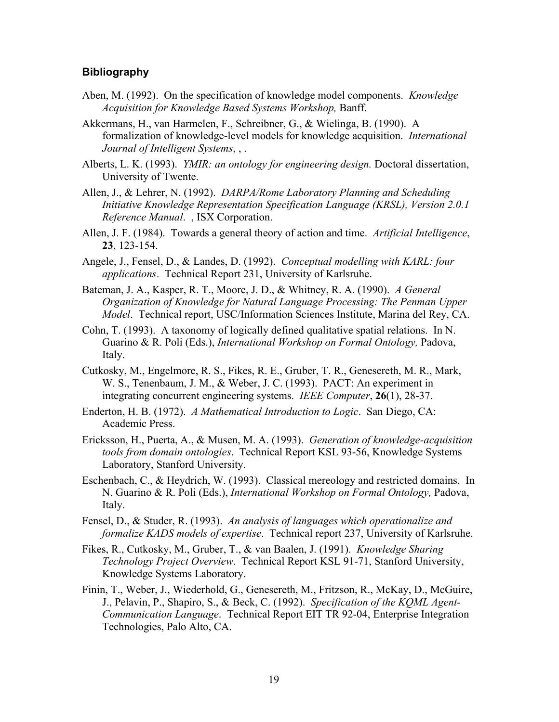#### **Bibliography**

- Aben, M. (1992). On the specification of knowledge model components. *Knowledge Acquisition for Knowledge Based Systems Workshop,* Banff.
- Akkermans, H., van Harmelen, F., Schreibner, G., & Wielinga, B. (1990). A formalization of knowledge-level models for knowledge acquisition. *International Journal of Intelligent Systems*, , .
- Alberts, L. K. (1993). *YMIR: an ontology for engineering design.* Doctoral dissertation, University of Twente.
- Allen, J., & Lehrer, N. (1992). *DARPA/Rome Laboratory Planning and Scheduling Initiative Knowledge Representation Specification Language (KRSL), Version 2.0.1 Reference Manual*. , ISX Corporation.
- Allen, J. F. (1984). Towards a general theory of action and time. *Artificial Intelligence*, **23**, 123-154.
- Angele, J., Fensel, D., & Landes, D. (1992). *Conceptual modelling with KARL: four applications*. Technical Report 231, University of Karlsruhe.
- Bateman, J. A., Kasper, R. T., Moore, J. D., & Whitney, R. A. (1990). *A General Organization of Knowledge for Natural Language Processing: The Penman Upper Model*. Technical report, USC/Information Sciences Institute, Marina del Rey, CA.
- Cohn, T. (1993). A taxonomy of logically defined qualitative spatial relations. In N. Guarino & R. Poli (Eds.), *International Workshop on Formal Ontology,* Padova, Italy.
- Cutkosky, M., Engelmore, R. S., Fikes, R. E., Gruber, T. R., Genesereth, M. R., Mark, W. S., Tenenbaum, J. M., & Weber, J. C. (1993). PACT: An experiment in integrating concurrent engineering systems. *IEEE Computer*, **26**(1), 28-37.
- Enderton, H. B. (1972). *A Mathematical Introduction to Logic*. San Diego, CA: Academic Press.
- Ericksson, H., Puerta, A., & Musen, M. A. (1993). *Generation of knowledge-acquisition tools from domain ontologies*. Technical Report KSL 93-56, Knowledge Systems Laboratory, Stanford University.
- Eschenbach, C., & Heydrich, W. (1993). Classical mereology and restricted domains. In N. Guarino & R. Poli (Eds.), *International Workshop on Formal Ontology,* Padova, Italy.
- Fensel, D., & Studer, R. (1993). *An analysis of languages which operationalize and formalize KADS models of expertise*. Technical report 237, University of Karlsruhe.
- Fikes, R., Cutkosky, M., Gruber, T., & van Baalen, J. (1991). *Knowledge Sharing Technology Project Overview*. Technical Report KSL 91-71, Stanford University, Knowledge Systems Laboratory.
- Finin, T., Weber, J., Wiederhold, G., Genesereth, M., Fritzson, R., McKay, D., McGuire, J., Pelavin, P., Shapiro, S., & Beck, C. (1992). *Specification of the KQML Agent-Communication Language*. Technical Report EIT TR 92-04, Enterprise Integration Technologies, Palo Alto, CA.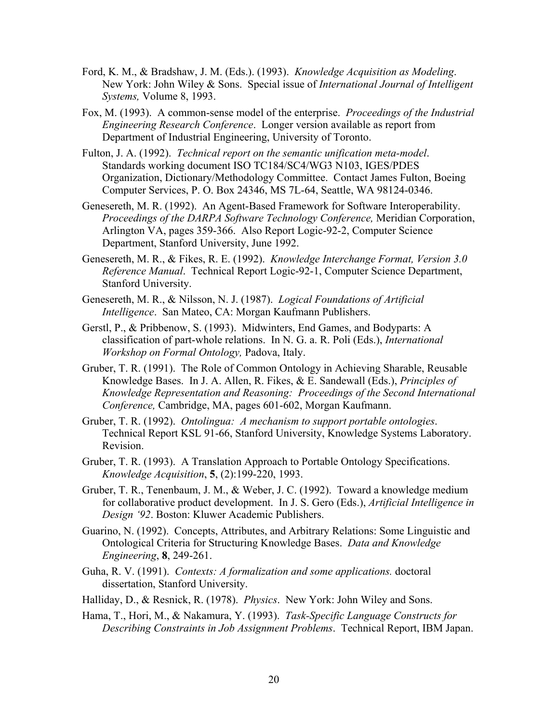- Ford, K. M., & Bradshaw, J. M. (Eds.). (1993). *Knowledge Acquisition as Modeling*. New York: John Wiley & Sons. Special issue of *International Journal of Intelligent Systems,* Volume 8, 1993.
- Fox, M. (1993). A common-sense model of the enterprise. *Proceedings of the Industrial Engineering Research Conference*. Longer version available as report from Department of Industrial Engineering, University of Toronto.
- Fulton, J. A. (1992). *Technical report on the semantic unification meta-model*. Standards working document ISO TC184/SC4/WG3 N103, IGES/PDES Organization, Dictionary/Methodology Committee. Contact James Fulton, Boeing Computer Services, P. O. Box 24346, MS 7L-64, Seattle, WA 98124-0346.
- Genesereth, M. R. (1992). An Agent-Based Framework for Software Interoperability. *Proceedings of the DARPA Software Technology Conference,* Meridian Corporation, Arlington VA, pages 359-366. Also Report Logic-92-2, Computer Science Department, Stanford University, June 1992.
- Genesereth, M. R., & Fikes, R. E. (1992). *Knowledge Interchange Format, Version 3.0 Reference Manual*. Technical Report Logic-92-1, Computer Science Department, Stanford University.
- Genesereth, M. R., & Nilsson, N. J. (1987). *Logical Foundations of Artificial Intelligence*. San Mateo, CA: Morgan Kaufmann Publishers.
- Gerstl, P., & Pribbenow, S. (1993). Midwinters, End Games, and Bodyparts: A classification of part-whole relations. In N. G. a. R. Poli (Eds.), *International Workshop on Formal Ontology,* Padova, Italy.
- Gruber, T. R. (1991). The Role of Common Ontology in Achieving Sharable, Reusable Knowledge Bases. In J. A. Allen, R. Fikes, & E. Sandewall (Eds.), *Principles of Knowledge Representation and Reasoning: Proceedings of the Second International Conference,* Cambridge, MA, pages 601-602, Morgan Kaufmann.
- Gruber, T. R. (1992). *Ontolingua: A mechanism to support portable ontologies*. Technical Report KSL 91-66, Stanford University, Knowledge Systems Laboratory. Revision.
- Gruber, T. R. (1993). A Translation Approach to Portable Ontology Specifications. *Knowledge Acquisition*, **5**, (2):199-220, 1993.
- Gruber, T. R., Tenenbaum, J. M., & Weber, J. C. (1992). Toward a knowledge medium for collaborative product development. In J. S. Gero (Eds.), *Artificial Intelligence in Design '92*. Boston: Kluwer Academic Publishers.
- Guarino, N. (1992). Concepts, Attributes, and Arbitrary Relations: Some Linguistic and Ontological Criteria for Structuring Knowledge Bases. *Data and Knowledge Engineering*, **8**, 249-261.
- Guha, R. V. (1991). *Contexts: A formalization and some applications.* doctoral dissertation, Stanford University.
- Halliday, D., & Resnick, R. (1978). *Physics*. New York: John Wiley and Sons.
- Hama, T., Hori, M., & Nakamura, Y. (1993). *Task-Specific Language Constructs for Describing Constraints in Job Assignment Problems*. Technical Report, IBM Japan.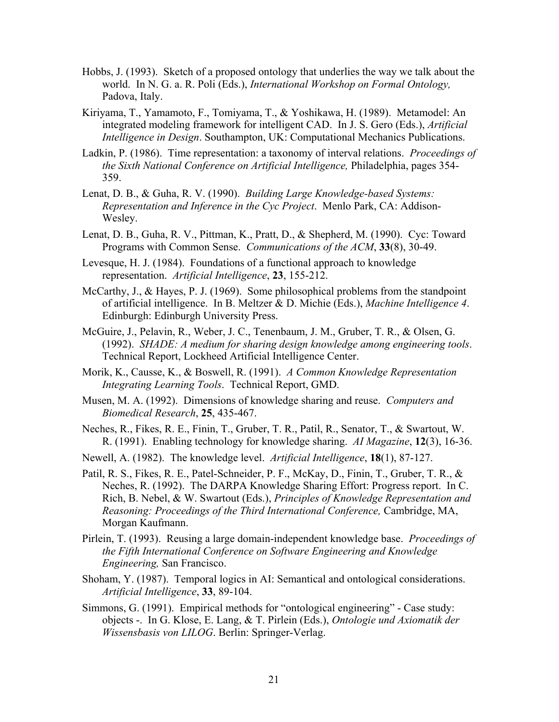- Hobbs, J. (1993). Sketch of a proposed ontology that underlies the way we talk about the world. In N. G. a. R. Poli (Eds.), *International Workshop on Formal Ontology,*  Padova, Italy.
- Kiriyama, T., Yamamoto, F., Tomiyama, T., & Yoshikawa, H. (1989). Metamodel: An integrated modeling framework for intelligent CAD. In J. S. Gero (Eds.), *Artificial Intelligence in Design*. Southampton, UK: Computational Mechanics Publications.
- Ladkin, P. (1986). Time representation: a taxonomy of interval relations. *Proceedings of the Sixth National Conference on Artificial Intelligence,* Philadelphia, pages 354- 359.
- Lenat, D. B., & Guha, R. V. (1990). *Building Large Knowledge-based Systems: Representation and Inference in the Cyc Project*. Menlo Park, CA: Addison-Wesley.
- Lenat, D. B., Guha, R. V., Pittman, K., Pratt, D., & Shepherd, M. (1990). Cyc: Toward Programs with Common Sense. *Communications of the ACM*, **33**(8), 30-49.
- Levesque, H. J. (1984). Foundations of a functional approach to knowledge representation. *Artificial Intelligence*, **23**, 155-212.
- McCarthy, J., & Hayes, P. J. (1969). Some philosophical problems from the standpoint of artificial intelligence. In B. Meltzer & D. Michie (Eds.), *Machine Intelligence 4*. Edinburgh: Edinburgh University Press.
- McGuire, J., Pelavin, R., Weber, J. C., Tenenbaum, J. M., Gruber, T. R., & Olsen, G. (1992). *SHADE: A medium for sharing design knowledge among engineering tools*. Technical Report, Lockheed Artificial Intelligence Center.
- Morik, K., Causse, K., & Boswell, R. (1991). *A Common Knowledge Representation Integrating Learning Tools*. Technical Report, GMD.
- Musen, M. A. (1992). Dimensions of knowledge sharing and reuse. *Computers and Biomedical Research*, **25**, 435-467.
- Neches, R., Fikes, R. E., Finin, T., Gruber, T. R., Patil, R., Senator, T., & Swartout, W. R. (1991). Enabling technology for knowledge sharing. *AI Magazine*, **12**(3), 16-36.
- Newell, A. (1982). The knowledge level. *Artificial Intelligence*, **18**(1), 87-127.
- Patil, R. S., Fikes, R. E., Patel-Schneider, P. F., McKay, D., Finin, T., Gruber, T. R., & Neches, R. (1992). The DARPA Knowledge Sharing Effort: Progress report. In C. Rich, B. Nebel, & W. Swartout (Eds.), *Principles of Knowledge Representation and Reasoning: Proceedings of the Third International Conference,* Cambridge, MA, Morgan Kaufmann.
- Pirlein, T. (1993). Reusing a large domain-independent knowledge base. *Proceedings of the Fifth International Conference on Software Engineering and Knowledge Engineering,* San Francisco.
- Shoham, Y. (1987). Temporal logics in AI: Semantical and ontological considerations. *Artificial Intelligence*, **33**, 89-104.
- Simmons, G. (1991). Empirical methods for "ontological engineering" Case study: objects -. In G. Klose, E. Lang, & T. Pirlein (Eds.), *Ontologie und Axiomatik der Wissensbasis von LILOG*. Berlin: Springer-Verlag.